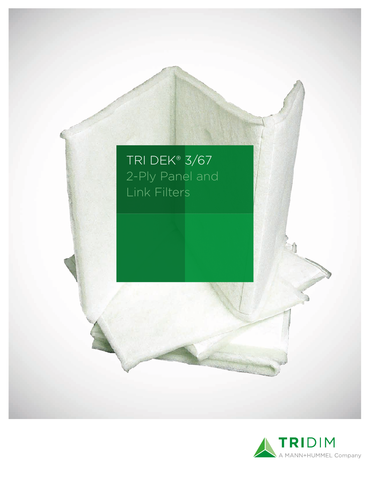

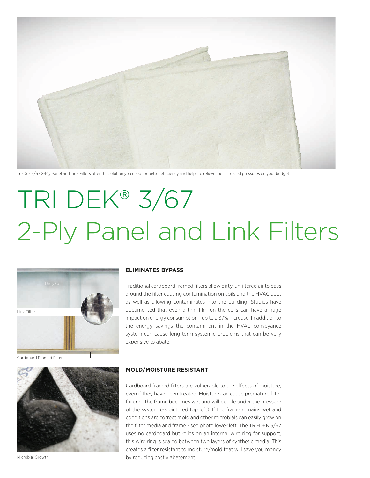

Tri-Dek 3/67 2-Ply Panel and Link Filters offer the solution you need for better efficiency and helps to relieve the increased pressures on your budget.

# TRI DEK® 3/67 2-Ply Panel and Link Filters



Cardboard Framed Filter



Microbial Growth

# **ELIMINATES BYPASS**

Traditional cardboard framed filters allow dirty, unfiltered air to pass around the filter causing contamination on coils and the HVAC duct as well as allowing contaminates into the building. Studies have documented that even a thin film on the coils can have a huge impact on energy consumption - up to a 37% increase. In addition to the energy savings the contaminant in the HVAC conveyance system can cause long term systemic problems that can be very expensive to abate.

#### **MOLD/MOISTURE RESISTANT**

Cardboard framed filters are vulnerable to the effects of moisture, even if they have been treated. Moisture can cause premature filter failure - the frame becomes wet and will buckle under the pressure of the system (as pictured top left). If the frame remains wet and conditions are correct mold and other microbials can easily grow on the filter media and frame - see photo lower left. The TRI-DEK 3/67 uses no cardboard but relies on an internal wire ring for support, this wire ring is sealed between two layers of synthetic media. This creates a filter resistant to moisture/mold that will save you money by reducing costly abatement.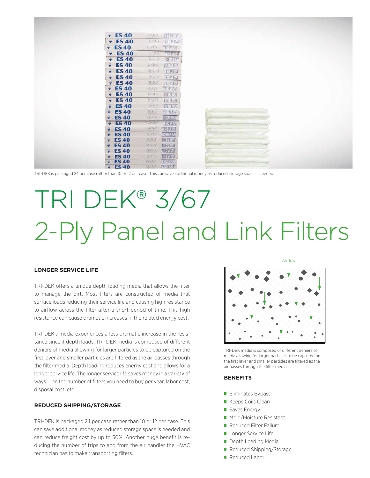| $\overline{v}$ ES 40                   | 出身2<br>TRI-PLEAT                                    |  |  |
|----------------------------------------|-----------------------------------------------------|--|--|
| $\sqrt{ES40}$                          | $24{\times}24{\times}2$<br>TRI-PLEAT                |  |  |
| $\sqrt{ES40}$                          | 2834.62<br>TRI-PLEAT                                |  |  |
| $\overline{v}$ ES 40                   | $\gamma$ and $\gamma$<br>TRIEFEAT                   |  |  |
| $\overline{\mathbf{v}}$ ES 40          | 20121-2<br>TRI-PLEAT                                |  |  |
| $\overline{\mathbf{v}}$ ES 40          | 24/24/2<br>TRI-PLEAT                                |  |  |
| $\overline{\mathbf{v}}$ ES 40          | 경소24 2<br>TRI-PLEAT                                 |  |  |
| <b>ES40</b><br>$\overline{\mathbf{v}}$ | 감사 2<br>TRI-PLEAT                                   |  |  |
| $\overline{v}$ ES 40                   | 24 = 24 + 2<br>TRI-PLEAT                            |  |  |
| $\overline{\mathbf{v}}$ ES 40          | 전자경<br>TRI-PLEAT                                    |  |  |
| $\overline{v}$ ES 40                   | 35124.17<br>TRI-PLEAT                               |  |  |
| $\overline{\mathbf{v}}$ ES 40          | 감정사각<br>TRI-PLEAT                                   |  |  |
| <b>ES40</b><br>۰                       | TRI-PLEAT<br>2482492                                |  |  |
| <b>ES40</b><br>÷                       | 2482482<br><b>IR-PLEAT</b>                          |  |  |
| <b>ES40</b><br>÷                       | <b>TRI-RIFAT</b><br>48249                           |  |  |
| $\sqrt{ES40}$                          | 2472452<br><b>TRELLEAT</b>                          |  |  |
| <b>ES 40</b><br>÷                      | <b>TRI-PLEAT</b><br>20349                           |  |  |
| <b>ES 40</b><br>÷                      | TRI-PLEAT<br>2492432                                |  |  |
| <b>ES40</b><br>÷                       | <b>TRI-PLEAT</b><br>전자국                             |  |  |
| <b>ES 40</b><br>÷                      | TRI-FLEAT<br>手の信む(子)                                |  |  |
| <b>ES40</b><br>٠                       | TRI-PLEAT<br>24(24)2<br><b>TRI-PLEAT</b><br>2412412 |  |  |
| <b>ES 40</b><br>÷<br><b>ES40</b><br>÷  | 9812697<br><b>TRI-FLEAT</b>                         |  |  |
| <b>ES40</b>                            | TRI-PLEAT<br>24/28/2                                |  |  |

TRI-DEK is packaged 24 per case rather than 10 or 12 per case. This can save additional money as reduced storage space is needed

# TRI DEK® 3/67 2-Ply Panel and Link Filters

### **LONGER SERVICE LIFE**

TRI-DEK offers a unique depth loading media that allows the filter to manage the dirt. Most filters are constructed of media that surface loads reducing their service life and causing high resistance to airflow across the filter after a short period of time. This high resistance can cause dramatic increases in the related energy cost.

TRI-DEK's media experiences a less dramatic increase in the resistance since it depth loads. TRI-DEK media is composed of different deniers of media allowing for larger particles to be captured on the first layer and smaller particles are filtered as the air passes through the filter media. Depth loading reduces energy cost and allows for a longer service life. The longer service life saves money in a variety of ways ... on the number of filters you need to buy per year, labor cost, disposal cost, etc.

# **REDUCED SHIPPING/STORAGE**

TRI-DEK is packaged 24 per case rather than 10 or 12 per case. This can save additional money as reduced storage space is needed and can reduce freight cost by up to 50%. Another huge benefit is reducing the number of trips to and from the air handler the HVAC technician has to make transporting filters.



TRI-DEK media is composed of different deniers of media allowing for larger particles to be captured on the first layer and smaller particles are filtered as the air passes through the filter media

# **BENEFITS**

- **Eliminates Bypass**
- Keeps Coils Clean
- Saves Energy
- **Mold/Moisture Resistant**
- Reduced Filter Failure
- **Longer Service Life**
- Depth Loading Media
- Reduced Shipping/Storage
- Reduced Labor